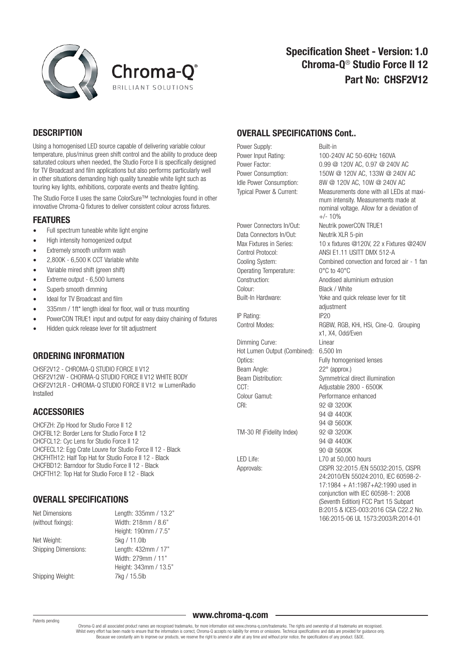



# **DESCRIPTION**

Using a homogenised LED source capable of delivering variable colour temperature, plus/minus green shift control and the ability to produce deep saturated colours when needed, the Studio Force II is specifically designed for TV Broadcast and film applications but also performs particularly well in other situations demanding high quality tuneable white light such as touring key lights, exhibitions, corporate events and theatre lighting.

The Studio Force II uses the same ColorSure™ technologies found in other innovative Chroma-Q fixtures to deliver consistent colour across fixtures.

#### **FFATURES**

- Full spectrum tuneable white light engine
- High intensity homogenized output
- Extremely smooth uniform wash
- 2,800K 6,500 K CCT Variable white
- Variable mired shift (green shift)
- Extreme output 6,500 lumens
- Superb smooth dimming
- Ideal for TV Broadcast and film
- 335mm / 1ft\* length ideal for floor, wall or truss mounting
- PowerCON TRUE1 input and output for easy daisy chaining of fixtures
- Hidden quick release lever for tilt adjustment

#### ORDERING INFORMATION

CHSF2V12 - CHROMA-Q STUDIO FORCE II V12 CHSF2V12W - CHORMA-Q STUDIO FORCE II V12 WHITE BODY CHSF2V12LR - CHROMA-Q STUDIO FORCE II V12 w LumenRadio Installed

# **ACCESSORIES**

CHCFZH: Zip Hood for Studio Force II 12 CHCFBL12: Border Lens for Studio Force II 12 CHCFCL12: Cyc Lens for Studio Force II 12 CHCFECL12: Egg Crate Louvre for Studio Force II 12 - Black CHCFHTH12: Half Top Hat for Studio Force II 12 - Black CHCFBD12: Barndoor for Studio Force II 12 - Black CHCFTH12: Top Hat for Studio Force II 12 - Black

# OVERALL SPECIFICATIONS

| Net Dimensions              | Length: 335mm / 13.2" |
|-----------------------------|-----------------------|
| (without fixings):          | Width: 218mm / 8.6"   |
|                             | Height: 190mm / 7.5"  |
| Net Weight:                 | 5kg / 11.0lb          |
| <b>Shipping Dimensions:</b> | Length: 432mm / 17"   |
|                             | Width: 279mm / 11"    |
|                             | Height: 343mm / 13.5" |
| Shipping Weight:            | 7kg / 15.5lb          |

## OVERALL SPECIFICATIONS Cont..

Power Supply: Built-in

Data Connectors In/Out: Neutrik XLR 5-pin Operating Temperature: 0°C to 40°C Colour: Black / White

IP Rating: IP20

Dimming Curve: Linear Hot Lumen Output (Combined): 6,500 lm Optics: Fully homogenised lenses Beam Angle: 22° (approx.) CCT: Adjustable 2800 - 6500K Colour Gamut: Performance enhanced CRI· 92 @ 3200K

TM-30 Rf (Fidelity Index) 92 @ 3200K

Power Input Rating: 100-240V AC 50-60Hz 160VA Power Factor: 0.99 @ 120V AC, 0.97 @ 240V AC Power Consumption: 150W @ 120V AC, 133W @ 240V AC Idle Power Consumption: 8W @ 120V AC, 10W @ 240V AC Typical Power & Current: Measurements done with all LEDs at maxi mum intensity. Measurements made at nominal voltage. Allow for a deviation of  $+/- 10%$ Power Connectors In/Out: Neutrik powerCON TRUE1 Max Fixtures in Series: 10 x fixtures @120V, 22 x Fixtures @240V Control Protocol: ANSI E1.11 USITT DMX 512-A Cooling System: Combined convection and forced air - 1 fan Construction: Anodised aluminium extrusion Built-In Hardware: Yoke and quick release lever for tilt adjustment Control Modes: RGBW, RGB, KHi, HSi, Cine-Q. Grouping x1, X4, Odd/Even Beam Distribution: Symmetrical direct illumination 94 @ 4400K 94 @ 5600K 94 @ 4400K 90 @ 5600K LED Life: L70 at 50,000 hours Approvals: CISPR 32:2015 /EN 55032:2015, CISPR 24:2010/EN 55024:2010, IEC 60598-2- 17:1984 + A1:1987+A2:1990 used in conjunction with IEC 60598-1: 2008 (Seventh Edition) FCC Part 15 Subpart B:2015 & ICES-003:2016 CSA C22.2 No. 166:2015-06 UL 1573:2003/R:2014-01

#### Patents pending

www.chroma-q.com

Chroma-Q and all associated product names are recognised trademarks, for more information visit www.chroma-q.com/trademarks. The rights and ownership of all trademarks are recognised. Whilst every effort has been made to ensure that the information is correct, Chroma-Q accepts no liability for errors or omissions. Technical specifications and data are provided for guidance only. Because we constantly aim to improve our products, we reserve the right to amend or alter at any time and without prior notice, the specifications of any product. E&OE